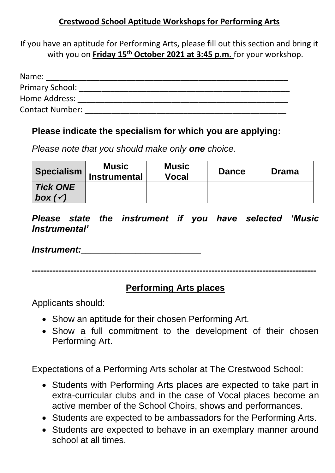#### **Crestwood School Aptitude Workshops for Performing Arts**

If you have an aptitude for Performing Arts, please fill out this section and bring it with you on **Friday 15th October 2021 at 3:45 p.m.** for your workshop.

| Name:                  |  |
|------------------------|--|
| <b>Primary School:</b> |  |
| Home Address:          |  |
| <b>Contact Number:</b> |  |

#### **Please indicate the specialism for which you are applying:**

*Please note that you should make only one choice.*

| Specialism        | <b>Music</b><br><b>Instrumental</b> | <b>Music</b><br>Vocal | <b>Dance</b> | <b>Drama</b> |
|-------------------|-------------------------------------|-----------------------|--------------|--------------|
| <b>Tick ONE</b>   |                                     |                       |              |              |
| box $(\sqrt{ }')$ |                                     |                       |              |              |

*Please state the instrument if you have selected 'Music Instrumental'*

#### *Instrument:\_\_\_\_\_\_\_\_\_\_\_\_\_\_\_\_\_\_\_\_\_\_\_\_*

**-----------------------------------------------------------------------------------------------**

## **Performing Arts places**

Applicants should:

- Show an aptitude for their chosen Performing Art.
- Show a full commitment to the development of their chosen Performing Art.

Expectations of a Performing Arts scholar at The Crestwood School:

- Students with Performing Arts places are expected to take part in extra-curricular clubs and in the case of Vocal places become an active member of the School Choirs, shows and performances.
- Students are expected to be ambassadors for the Performing Arts.
- Students are expected to behave in an exemplary manner around school at all times.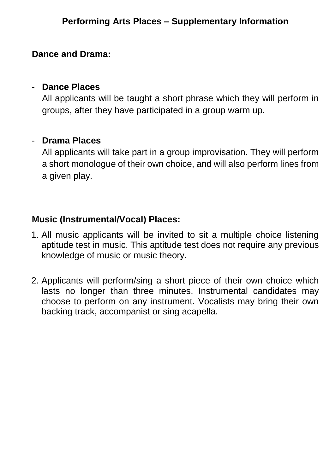# **Performing Arts Places – Supplementary Information**

#### **Dance and Drama:**

#### - **Dance Places**

All applicants will be taught a short phrase which they will perform in groups, after they have participated in a group warm up.

#### - **Drama Places**

All applicants will take part in a group improvisation. They will perform a short monologue of their own choice, and will also perform lines from a given play.

### **Music (Instrumental/Vocal) Places:**

- 1. All music applicants will be invited to sit a multiple choice listening aptitude test in music. This aptitude test does not require any previous knowledge of music or music theory.
- 2. Applicants will perform/sing a short piece of their own choice which lasts no longer than three minutes. Instrumental candidates may choose to perform on any instrument. Vocalists may bring their own backing track, accompanist or sing acapella.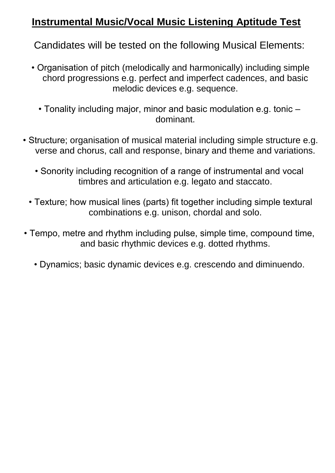# **Instrumental Music/Vocal Music Listening Aptitude Test**

Candidates will be tested on the following Musical Elements:

- Organisation of pitch (melodically and harmonically) including simple chord progressions e.g. perfect and imperfect cadences, and basic melodic devices e.g. sequence.
	- Tonality including major, minor and basic modulation e.g. tonic dominant.
- Structure; organisation of musical material including simple structure e.g. verse and chorus, call and response, binary and theme and variations.
	- Sonority including recognition of a range of instrumental and vocal timbres and articulation e.g. legato and staccato.
	- Texture; how musical lines (parts) fit together including simple textural combinations e.g. unison, chordal and solo.
- Tempo, metre and rhythm including pulse, simple time, compound time, and basic rhythmic devices e.g. dotted rhythms.
	- Dynamics; basic dynamic devices e.g. crescendo and diminuendo.